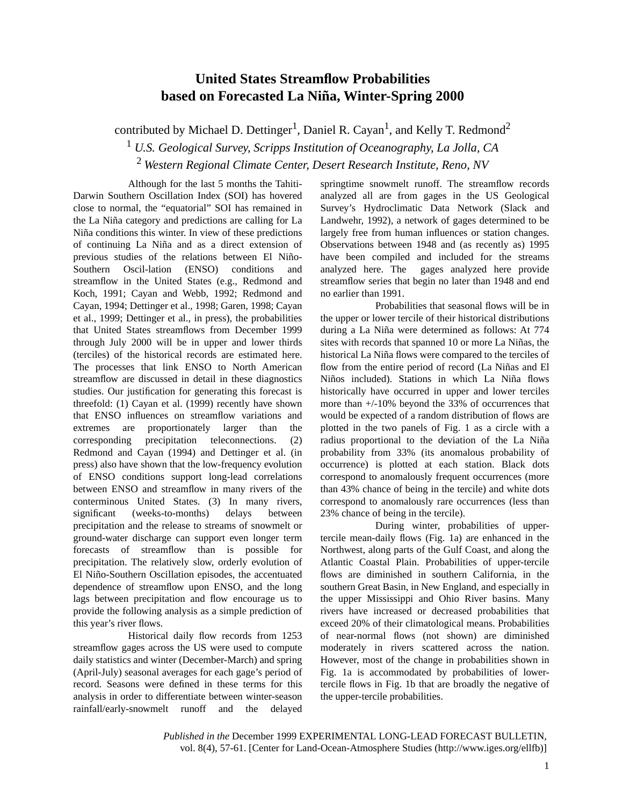## **United States Streamflow Probabilities based on Forecasted La Niña, Winter-Spring 2000**

contributed by Michael D. Dettinger<sup>1</sup>, Daniel R. Cayan<sup>1</sup>, and Kelly T. Redmond<sup>2</sup>

<sup>1</sup> *U.S. Geological Survey, Scripps Institution of Oceanography, La Jolla, CA*

<sup>2</sup> *Western Regional Climate Center, Desert Research Institute, Reno, NV*

Although for the last 5 months the Tahiti-Darwin Southern Oscillation Index (SOI) has hovered close to normal, the "equatorial" SOI has remained in the La Niña category and predictions are calling for La Niña conditions this winter. In view of these predictions of continuing La Niña and as a direct extension of previous studies of the relations between El Niño-Southern Oscil-lation (ENSO) conditions and streamflow in the United States (e.g., Redmond and Koch, 1991; Cayan and Webb, 1992; Redmond and Cayan, 1994; Dettinger et al., 1998; Garen, 1998; Cayan et al., 1999; Dettinger et al., in press), the probabilities that United States streamflows from December 1999 through July 2000 will be in upper and lower thirds (terciles) of the historical records are estimated here. The processes that link ENSO to North American streamflow are discussed in detail in these diagnostics studies. Our justification for generating this forecast is threefold: (1) Cayan et al. (1999) recently have shown that ENSO influences on streamflow variations and extremes are proportionately larger than the corresponding precipitation teleconnections. (2) Redmond and Cayan (1994) and Dettinger et al. (in press) also have shown that the low-frequency evolution of ENSO conditions support long-lead correlations between ENSO and streamflow in many rivers of the conterminous United States. (3) In many rivers, significant (weeks-to-months) delays between precipitation and the release to streams of snowmelt or ground-water discharge can support even longer term forecasts of streamflow than is possible for precipitation. The relatively slow, orderly evolution of El Niño-Southern Oscillation episodes, the accentuated dependence of streamflow upon ENSO, and the long lags between precipitation and flow encourage us to provide the following analysis as a simple prediction of this year's river flows.

Historical daily flow records from 1253 streamflow gages across the US were used to compute daily statistics and winter (December-March) and spring (April-July) seasonal averages for each gage's period of record. Seasons were defined in these terms for this analysis in order to differentiate between winter-season rainfall/early-snowmelt runoff and the delayed

springtime snowmelt runoff. The streamflow records analyzed all are from gages in the US Geological Survey's Hydroclimatic Data Network (Slack and Landwehr, 1992), a network of gages determined to be largely free from human influences or station changes. Observations between 1948 and (as recently as) 1995 have been compiled and included for the streams analyzed here. The gages analyzed here provide streamflow series that begin no later than 1948 and end no earlier than 1991.

Probabilities that seasonal flows will be in the upper or lower tercile of their historical distributions during a La Niña were determined as follows: At 774 sites with records that spanned 10 or more La Niñas, the historical La Niña flows were compared to the terciles of flow from the entire period of record (La Niñas and El Niños included). Stations in which La Niña flows historically have occurred in upper and lower terciles more than +/-10% beyond the 33% of occurrences that would be expected of a random distribution of flows are plotted in the two panels of Fig. 1 as a circle with a radius proportional to the deviation of the La Niña probability from 33% (its anomalous probability of occurrence) is plotted at each station. Black dots correspond to anomalously frequent occurrences (more than 43% chance of being in the tercile) and white dots correspond to anomalously rare occurrences (less than 23% chance of being in the tercile).

During winter, probabilities of uppertercile mean-daily flows (Fig. 1a) are enhanced in the Northwest, along parts of the Gulf Coast, and along the Atlantic Coastal Plain. Probabilities of upper-tercile flows are diminished in southern California, in the southern Great Basin, in New England, and especially in the upper Mississippi and Ohio River basins. Many rivers have increased or decreased probabilities that exceed 20% of their climatological means. Probabilities of near-normal flows (not shown) are diminished moderately in rivers scattered across the nation. However, most of the change in probabilities shown in Fig. 1a is accommodated by probabilities of lowertercile flows in Fig. 1b that are broadly the negative of the upper-tercile probabilities.

*Published in the* December 1999 EXPERIMENTAL LONG-LEAD FORECAST BULLETIN, vol. 8(4), 57-61. [Center for Land-Ocean-Atmosphere Studies (http://www.iges.org/ellfb)]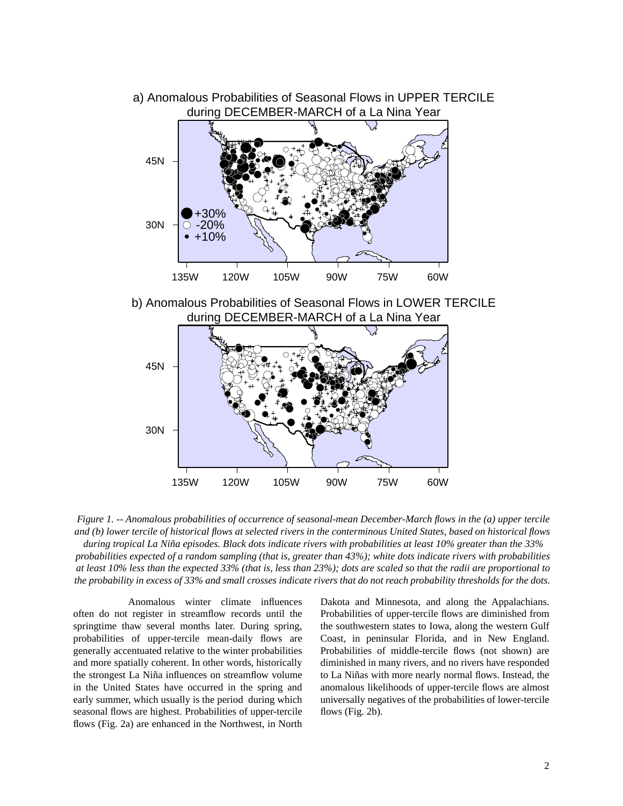



*Figure 1. -- Anomalous probabilities of occurrence of seasonal-mean December-March flows in the (a) upper tercile and (b) lower tercile of historical flows at selected rivers in the conterminous United States, based on historical flows during tropical La Niña episodes. Black dots indicate rivers with probabilities at least 10% greater than the 33%* 

*probabilities expected of a random sampling (that is, greater than 43%); white dots indicate rivers with probabilities at least 10% less than the expected 33% (that is, less than 23%); dots are scaled so that the radii are proportional to the probability in excess of 33% and small crosses indicate rivers that do not reach probability thresholds for the dots.* 

Anomalous winter climate influences often do not register in streamflow records until the springtime thaw several months later. During spring, probabilities of upper-tercile mean-daily flows are generally accentuated relative to the winter probabilities and more spatially coherent. In other words, historically the strongest La Niña influences on streamflow volume in the United States have occurred in the spring and early summer, which usually is the period during which seasonal flows are highest. Probabilities of upper-tercile flows (Fig. 2a) are enhanced in the Northwest, in North Dakota and Minnesota, and along the Appalachians. Probabilities of upper-tercile flows are diminished from the southwestern states to Iowa, along the western Gulf Coast, in peninsular Florida, and in New England. Probabilities of middle-tercile flows (not shown) are diminished in many rivers, and no rivers have responded to La Niñas with more nearly normal flows. Instead, the anomalous likelihoods of upper-tercile flows are almost universally negatives of the probabilities of lower-tercile flows (Fig. 2b).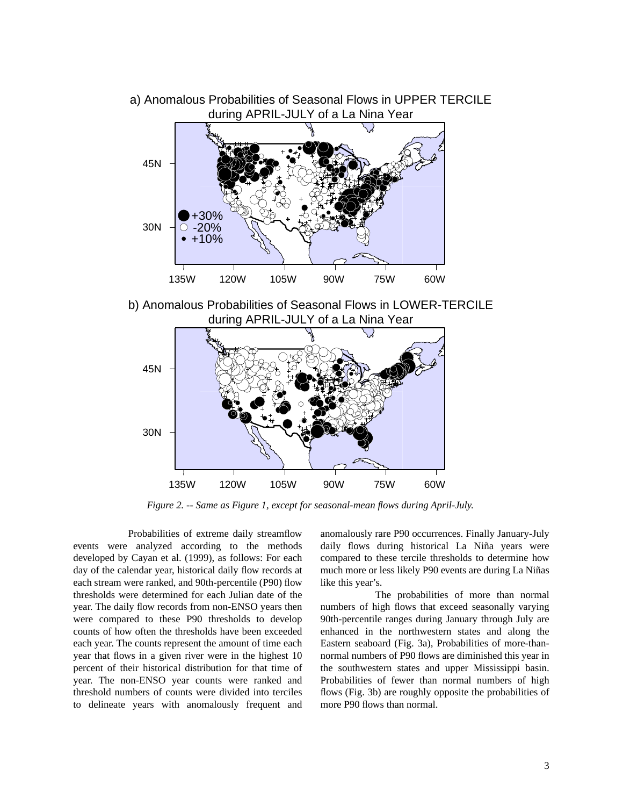

a) Anomalous Probabilities of Seasonal Flows in UPPER TERCILE during APRIL-JULY of a La Nina Year

*Figure 2. -- Same as Figure 1, except for seasonal-mean flows during April-July.* 135W 120W 105W 90W 75W 60W

Probabilities of extreme daily streamflow events were analyzed according to the methods developed by Cayan et al. (1999), as follows: For each day of the calendar year, historical daily flow records at each stream were ranked, and 90th-percentile (P90) flow thresholds were determined for each Julian date of the year. The daily flow records from non-ENSO years then were compared to these P90 thresholds to develop counts of how often the thresholds have been exceeded each year. The counts represent the amount of time each year that flows in a given river were in the highest 10 percent of their historical distribution for that time of year. The non-ENSO year counts were ranked and threshold numbers of counts were divided into terciles to delineate years with anomalously frequent and

30N

anomalously rare P90 occurrences. Finally January-July daily flows during historical La Niña years were compared to these tercile thresholds to determine how much more or less likely P90 events are during La Niñas like this year's.

The probabilities of more than normal numbers of high flows that exceed seasonally varying 90th-percentile ranges during January through July are enhanced in the northwestern states and along the Eastern seaboard (Fig. 3a), Probabilities of more-thannormal numbers of P90 flows are diminished this year in the southwestern states and upper Mississippi basin. Probabilities of fewer than normal numbers of high flows (Fig. 3b) are roughly opposite the probabilities of more P90 flows than normal.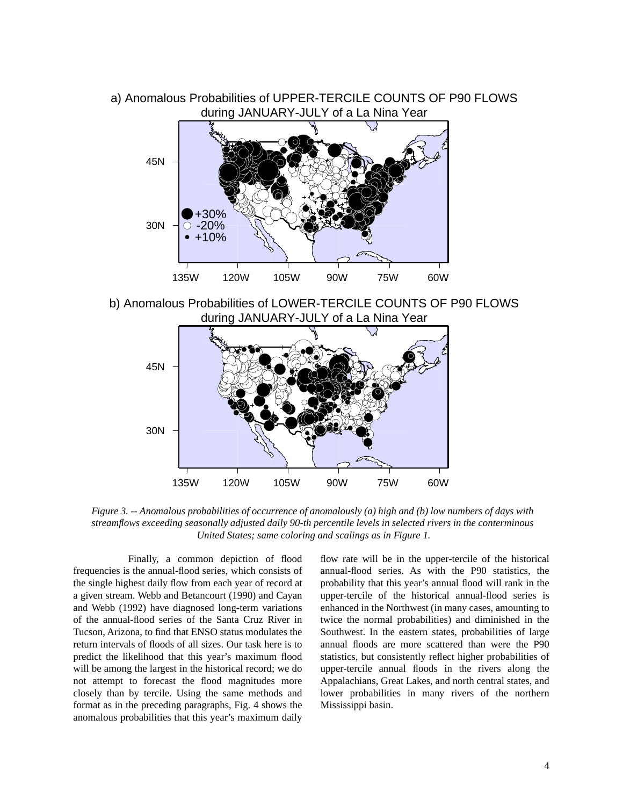



b) Anomalous Probabilities of LOWER-TERCILE COUNTS OF P90 FLOWS during JANUARY-JULY of a La Nina Year



*Figure 3. -- Anomalous probabilities of occurrence of anomalously (a) high and (b) low numbers of days with streamflows exceeding seasonally adjusted daily 90-th percentile levels in selected rivers in the conterminous United States; same coloring and scalings as in Figure 1.*

Finally, a common depiction of flood frequencies is the annual-flood series, which consists of the single highest daily flow from each year of record at a given stream. Webb and Betancourt (1990) and Cayan and Webb (1992) have diagnosed long-term variations of the annual-flood series of the Santa Cruz River in Tucson, Arizona, to find that ENSO status modulates the return intervals of floods of all sizes. Our task here is to predict the likelihood that this year's maximum flood will be among the largest in the historical record; we do not attempt to forecast the flood magnitudes more closely than by tercile. Using the same methods and format as in the preceding paragraphs, Fig. 4 shows the anomalous probabilities that this year's maximum daily

flow rate will be in the upper-tercile of the historical annual-flood series. As with the P90 statistics, the probability that this year's annual flood will rank in the upper-tercile of the historical annual-flood series is enhanced in the Northwest (in many cases, amounting to twice the normal probabilities) and diminished in the Southwest. In the eastern states, probabilities of large annual floods are more scattered than were the P90 statistics, but consistently reflect higher probabilities of upper-tercile annual floods in the rivers along the Appalachians, Great Lakes, and north central states, and lower probabilities in many rivers of the northern Mississippi basin.